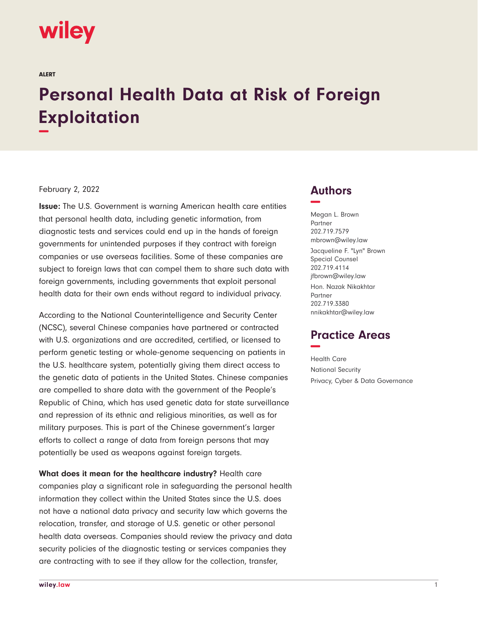# **wiley**

ALERT

# **Personal Health Data at Risk of Foreign Exploitation −**

### February 2, 2022

**Issue:** The U.S. Government is warning American health care entities that personal health data, including genetic information, from diagnostic tests and services could end up in the hands of foreign governments for unintended purposes if they contract with foreign companies or use overseas facilities. Some of these companies are subject to foreign laws that can compel them to share such data with foreign governments, including governments that exploit personal health data for their own ends without regard to individual privacy.

According to the National Counterintelligence and Security Center (NCSC), several Chinese companies have partnered or contracted with U.S. organizations and are accredited, certified, or licensed to perform genetic testing or whole-genome sequencing on patients in the U.S. healthcare system, potentially giving them direct access to the genetic data of patients in the United States. Chinese companies are compelled to share data with the government of the People's Republic of China, which has used genetic data for state surveillance and repression of its ethnic and religious minorities, as well as for military purposes. This is part of the Chinese government's larger efforts to collect a range of data from foreign persons that may potentially be used as weapons against foreign targets.

**What does it mean for the healthcare industry?** Health care companies play a significant role in safeguarding the personal health information they collect within the United States since the U.S. does not have a national data privacy and security law which governs the relocation, transfer, and storage of U.S. genetic or other personal health data overseas. Companies should review the privacy and data security policies of the diagnostic testing or services companies they are contracting with to see if they allow for the collection, transfer,

## **Authors −**

Megan L. Brown Partner 202.719.7579 mbrown@wiley.law Jacqueline F. "Lyn" Brown Special Counsel 202.719.4114 jfbrown@wiley.law Hon. Nazak Nikakhtar Partner 202.719.3380 nnikakhtar@wiley.law

# **Practice Areas −**

Health Care National Security Privacy, Cyber & Data Governance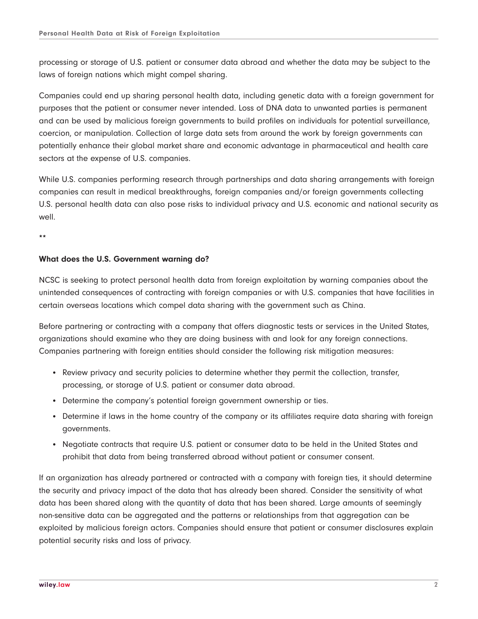processing or storage of U.S. patient or consumer data abroad and whether the data may be subject to the laws of foreign nations which might compel sharing.

Companies could end up sharing personal health data, including genetic data with a foreign government for purposes that the patient or consumer never intended. Loss of DNA data to unwanted parties is permanent and can be used by malicious foreign governments to build profiles on individuals for potential surveillance, coercion, or manipulation. Collection of large data sets from around the work by foreign governments can potentially enhance their global market share and economic advantage in pharmaceutical and health care sectors at the expense of U.S. companies.

While U.S. companies performing research through partnerships and data sharing arrangements with foreign companies can result in medical breakthroughs, foreign companies and/or foreign governments collecting U.S. personal health data can also pose risks to individual privacy and U.S. economic and national security as well.

**\*\***

#### **What does the U.S. Government warning do?**

NCSC is seeking to protect personal health data from foreign exploitation by warning companies about the unintended consequences of contracting with foreign companies or with U.S. companies that have facilities in certain overseas locations which compel data sharing with the government such as China.

Before partnering or contracting with a company that offers diagnostic tests or services in the United States, organizations should examine who they are doing business with and look for any foreign connections. Companies partnering with foreign entities should consider the following risk mitigation measures:

- Review privacy and security policies to determine whether they permit the collection, transfer, processing, or storage of U.S. patient or consumer data abroad.
- Determine the company's potential foreign government ownership or ties.
- Determine if laws in the home country of the company or its affiliates require data sharing with foreign governments.
- Negotiate contracts that require U.S. patient or consumer data to be held in the United States and prohibit that data from being transferred abroad without patient or consumer consent.

If an organization has already partnered or contracted with a company with foreign ties, it should determine the security and privacy impact of the data that has already been shared. Consider the sensitivity of what data has been shared along with the quantity of data that has been shared. Large amounts of seemingly non-sensitive data can be aggregated and the patterns or relationships from that aggregation can be exploited by malicious foreign actors. Companies should ensure that patient or consumer disclosures explain potential security risks and loss of privacy.